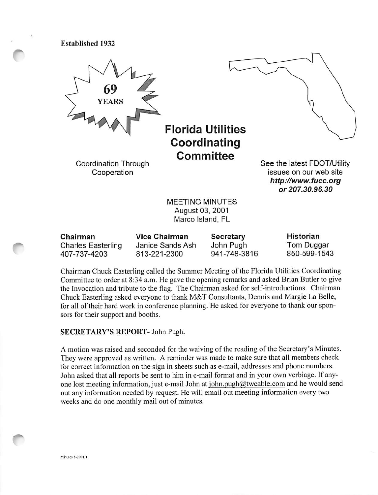Established 1932



August 03, 2001 Marco Island, FL

| Chairman                  | Vice Chairman    | <b>Secretary</b> | Historian    |
|---------------------------|------------------|------------------|--------------|
| <b>Charles Easterling</b> | Janice Sands Ash | John Pugh        | Tom Duggar   |
| 407-737-4203              | 813-221-2300     | 941-748-3816     | 850-599-1543 |

Chairman Chuck Easterling called the Summer Meeting of the Florida Utilities Coordinating Committee to order at 8:34 a.m. He gave the opening remarks and asked Brian Butler to give the Invocation and tribute to the flag. The Chairman asked for self-introductions. Chairman Chuck Easterling asked everyone to thank M&T Consultants, Dennis and Margie La Belle, for all of their hard work in conference planning. He asked for everyone to thank our spon sors for their support and booths.

## SECRETARY'S REPORT- John Pugh.

A motion was raised and seconded for the waiving of the reading of the Secretary's Minutes. They were approved as written. A reminder was made to make sure that all members check for correct information on the sign in sheets such as e-mail, addresses and phone numbers. John asked that all reports be sent to him in e-mail format and in your own verbiage. If any one lost meeting information, just e-mail John at john.pugh@twcable.com and he would send out any information needed by request. He will email out meeting information every two weeks and do one monthly mail out of minutes.

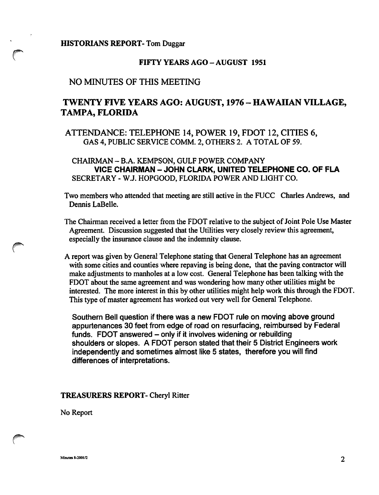#### HISTORIANS REPORT- Tom Duggar

## FIFTY YEARS AGO-AUGUST 1951

## NO MINUTES OF THIS MEETING

## TWENTY FIVE YEARS AGO: AUGUST, 1976 - HAWAIIAN VILLAGE, TAMPA, FLORIDA

## ATTENDANCE: TELEPHONE 14, POWER 19, FOOT 12, CITIES 6, GAS 4, PUBLIC SERVICE COMM. 2, OTHERS 2. A TOTAL OF 59.

CHAIRMAN - B.A. KEMPSON, GULF POWER COMPANY VICE CHAIRMAN - JOHN CLARK, UNITED TELEPHONE CO. OF FLA SECRETARY - W.J. HOPGOOD, FLORIDA POWER AND LIGHT CO.

Two members who attended that meeting are still active in the FUCC Charles Andrews, and Dennis LaBelle.

- The Chairman received a letter from the FDOT relative to the subject of Joint Pole Use Master Agreement. Discussion suggested that the Utilities very closely review this agreement, especially the insurance clause and the indemnity clause.
- A report was given by General Telephone stating that General Telephone has an agreement with some cities and counties where repaving is being done, that the paving contractor will make adjustments to manholes at a low cost. General Telephone has been talking with the FDOT about the same agreement and was wondering how many other utilities might be interested. The more interest in this by other utilities might help work this through the FDOT. This type of master agreement has worked out very well for General Telephone.

Southern Bell question if there was a new FDOT rule on moving above ground appurtenances 30 feet from edge of road on resurfacing, reimbursed by Federal funds. FDOT answered - only if it involves widening or rebuilding shoulders or slopes. A FDOT person stated that their 5 District Engineers work independently and sometimes almost like 5 states, therefore you will find differences of interpretations.

#### TREASURERS REPORT- Cheryl Ritter

No Report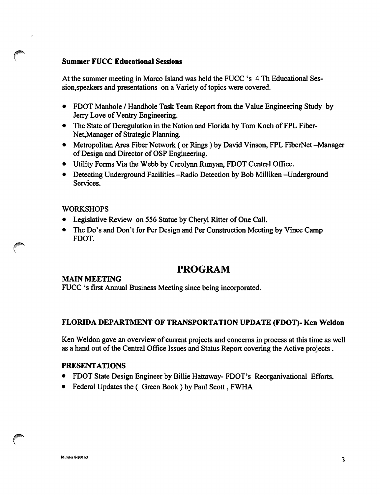## Summer FUCC Educational Sessions

At the summer meeting in Marco Island was held the FUCC's 4 Th Educational Ses sion,speakers and presentations on a Variety of topics were covered.

- FDOT Manhole / Handhole Task Team Report from the Value Engineering Study by Jerry Love of Ventry Engineering.
- The State of Deregulation in the Nation and Florida by Tom Koch of FPL Fiber-Net,Manager of Strategic Planning.
- Metropolitan Area Fiber Network (or Rings) by David Vinson, FPL FiberNet -Manager of Design and Director of OSP Engineering.
- Utility Forms Via the Webb by Carolynn Runyan, FDOT Central Office.
- Detecting Underground Facilities -Radio Detection by Bob Milliken -Underground Services.

## WORKSHOPS

- Legislative Review on 556 Statue by Cheryl Ritter of One Call.
- The Do's and Don't for Per Design and Per Construction Meeting by Vince Camp FDOT.

# PROGRAM

#### MAIN MEETING

FUCC's first Annual Business Meeting since being incorporated.

## FLORIDA DEPARTMENT OF TRANSPORTATION UPDATE (FDOT)- Ken Weldon

Ken Weldon gave an overview of current projects and concerns in process at this time as well as a hand out of the Central Office Issues and Status Report covering the Active projects .

#### PRESENTATIONS

- FDOT State Design Engineer by Billie Hattaway- FDOT's Reorganivational Efforts.
- Federal Updates the (Green Book) by Paul Scott, FWHA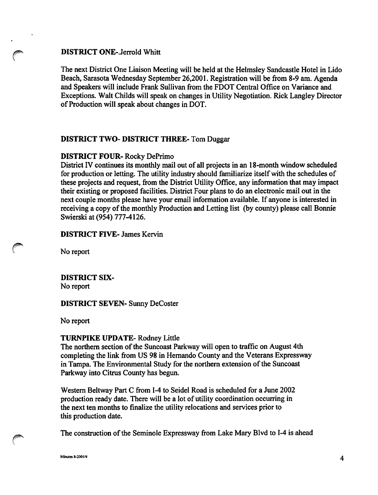## DISTRICT ONE-Jerrold Whitt

The next District One Liaison Meeting will be held at the Helmsley Sandcastle Hotel in Lido Beach, Sarasota Wednesday September 26,2001. Registration will be from 8-9 am. Agenda and Speakers will include Frank Sullivan from the FDOT Central Office on Variance and Exceptions. Walt Childs will speak on changes in Utility Negotiation. Rick Langley Director of Production wall speak about changes in DOT.

## DISTRICT TWO- DISTRICT THREE- Tom Duggar

#### DISTRICT FOUR- Rocky DePrimo

District IV continues its monthly mail out of all projects in an 18-month window scheduled for production or letting. The utility industry should familiarize itself with the schedules of these projects and request, from the District Utility Office, any information that may impact their existing or proposed facilities. District Four plans to do an electronic mail out in the next couple months please have your email information available. If anyone is interested in receiving a copy of the monthly Production and Letting list (by county) please call Bonnie Swierski at (954) 777-4126.

#### DISTRICT FIVE- James Kervin

No report

## DISTRICT six-No report

DISTRICT SEVEN- Sunny DeCoster

No report

#### TURNPIKE UPDATE- Rodney Little

The northern section of the Suncoast Parkway will open to traffic on August 4th completing the link from US 98 in Hemando County and the Veterans Expressway in Tampa. The Environmental Study for the northern extension of the Suncoast Parkway into Citrus County has begun.

Western Beltway Part C from 1-4 to Seidel Road is scheduled for a June 2002 production ready date. There will be a lot of utility coordination occurring in the next ten months to finalize the utility relocations and services prior to this production date.

The construction of the Seminole Expressway from Lake Mary Blvd to 1-4 is ahead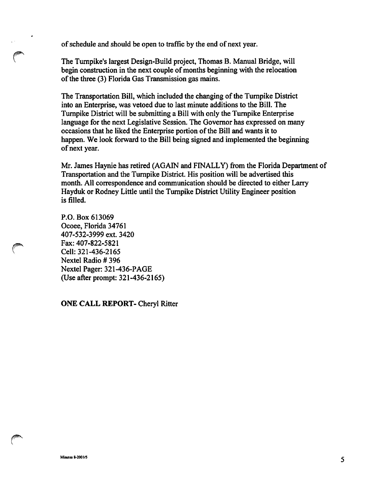of schedule and should be open to traffic by the end of next year.

The Turnpike's largest Design-Build project, Thomas B. Manual Bridge, will begin construction in the next couple of months beginning with the relocation of the three (3) Florida Gas Transmission gas mains.

The Transportation Bill, which included the changing of the Turnpike District into an Enterprise, was vetoed due to last minute additions to the Bill. The Turnpike District will be submitting a Bill with only the Turnpike Enterprise language for the next Legislative Session. The Governor has expressed on many occasions that he liked the Enterprise portion of the Bill and wants it to happen. We look forward to the Bill being signed and implemented the beginning of next year.

Mr. James Haynie has retired (AGAIN and FINALLY) from the Florida Department of Transportation and the Turnpike District. His position will be advertised this month. All correspondence and communication should be directed to either Larry Hayduk or Rodney Little until the Turnpike District Utility Engineer position is filled.

P.O. Box 613069 Ocoee, Florida 34761 407-532-3999 ext. 3420 Fax: 407-822-5821 Cell: 321-436-2165 Nextel Radio #396 Nextel Pager: 321-436-PAGE (Use after prompt: 321-436-2165)

ONE CALL REPORT- Cheryl Ritter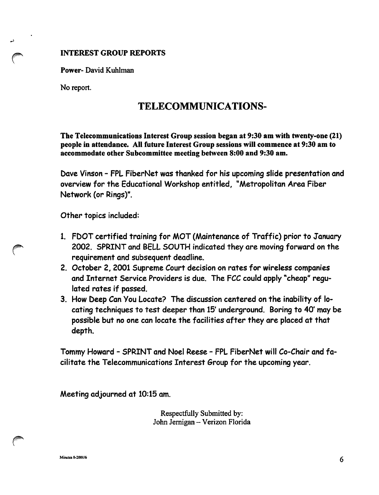## INTEREST GROUP REPORTS

Power- David Kuhlman

No report.

# TELECOMMUNICATIONS-

The Telecommunications Interest Group session began at 9:30 am with twenty-one (21) people in attendance. All future Interest Group sessions will commence at 9:30 am to accommodate other Subcommittee meeting between 8:00 and 9:30 am.

Dave Vinson - FPL FiberNet was thanked for his upcoming slide presentation and overview for the Educational Workshop entitled, "Metropolitan Area Fiber Network (or Rings)".

Other topics included:

- 1. FDOT certified training for MOT (Maintenance of Traffic) prior to January 2002. SPRINT and BELL SOUTH indicated they are moving forward on the requirement and subsequent deadline.
- 2. October 2, 2001 Supreme Court decision on rates for wireless companies and Internet Service Providers is due. The FCC could apply "cheap" regu lated rates if passed.
- 3. How Deep Can You Locate? The discussion centered on the inability of lo cating techniques to test deeper than 15' underground. Boring to 40' may be possible but no one can locate the facilities after they are placed at that depth.

Tommy Howard - SPRINT and Noel Reese - FPL FiberNet will Co-Chair and fa cilitate the Telecommunications Interest Group for the upcoming year.

Meeting adjourned at 10:15 am.

Respectfully Submitted by: John Jernigan - Verizon Florida

Miraites 8-2001/6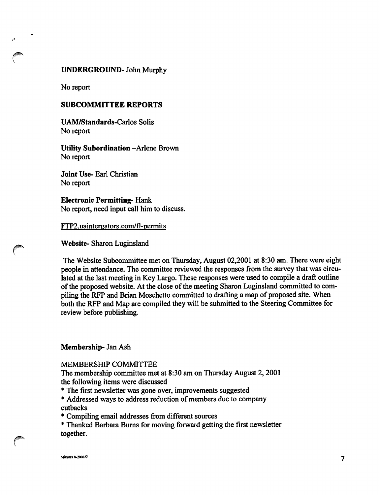#### UNDERGROUND- John Murphy

No report

#### SUBCOMMITTEE REPORTS

UAM/Standards-Carlos Solis No report

## Utility Subordination -Arlene Brovm No report

Joint Use- Earl Christian No report

## Electronic Permitting- Hank No report, need input call him to discuss.

FTP2.uaintergators.com/fl-permits

Website- Sharon Luginsland

The Website Subcommittee met on Thursday, August 02,2001 at 8:30 am. There were eight people in attendance. The committee reviewed the responses from the survey that was circu lated at the last meeting in Key Largo. These responses were used to compile a draft outline of the proposed website. At the close of the meeting Sharon Luginsland committed to com piling the RFP and Brian Moschetto committed to drafting a map of proposed site. When both the RFP and Map are compiled they will be submitted to the Steering Committee for review before publishing.

#### Membership- Jan Ash

#### MEMBERSHIP COMMITTEE

The membership committee met at 8:30 am on Thursday August 2,2001 the following items were discussed

- \* The first newsletter was gone over, improvements suggested
- \* Addressed ways to address reduction of members due to company cutbacks
- \* Compiling email addresses from different sources

\* Thanked Barbara Bums for moving forward getting the first newsletter together.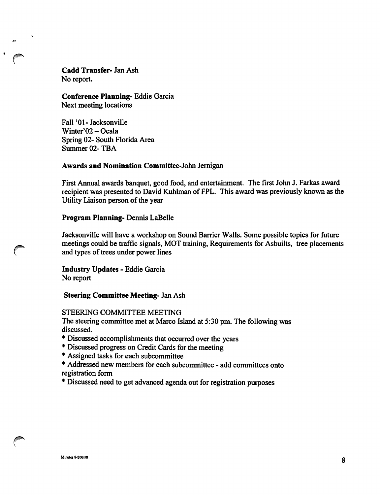Cadd Transfer- Jan Ash No report.

Conference Planning- Eddie Garcia Next meeting locations

Fall '01-Jacksonville Winter'02 - Ocala Spring 02- South Florida Area Summer 02-TBA

#### Awards and Nomination Committee-John Jemigan

First Annual awards banquet, good food, and entertainment. The first John J. Farkas award recipient was presented to David Kuhlman of FPL. This award was previously known as the Utility Liaison person of the year

#### Program Planning- Dennis LaBelle

Jacksonville will have a workshop on Sound Barrier Walls. Some possible topics for future meetings could be traffic signals, MOT training. Requirements for Asbuilts, tree placements and types of trees under power lines

Industry Updates - Eddie Garcia No report

Steering Committee Meeting- Jan Ash

#### STEERING COMMITTEE MEETING

The steering committee met at Marco Island at 5:30 pm. The following was discussed.

- \* Discussed accomplishments that occurred over the years
- \* Discussed progress on Credit Cards for the meeting
- \* Assigned tasks for each subcommittee
- \* Addressed new members for each subcommittee add committees onto registration form
- \* Discussed need to get advanced agenda out for registration purposes